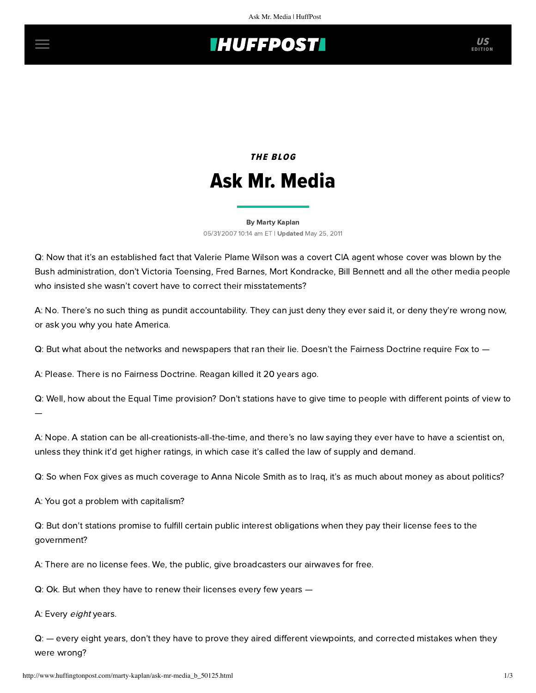## **INUFFPOST**

## THE BLOG Ask Mr. Media

## [By Marty Kaplan](http://www.huffingtonpost.com/author/marty-kaplan)

05/31/2007 10:14 am ET | Updated May 25, 2011

Q: Now that it's an established fact that Valerie Plame Wilson was a covert CIA agent whose cover was blown by the Bush administration, don't Victoria Toensing, Fred Barnes, Mort Kondracke, Bill Bennett and [all the other media people](http://www.salon.com/opinion/greenwald/2007/05/30/plame_covert/index.html) who insisted she wasn't covert have to correct their misstatements?

A: No. There's no such thing as pundit accountability. They can just deny they ever said it, or deny they're wrong now, or ask you why you hate America.

Q: But what about the networks and newspapers that ran their lie. Doesn't the Fairness Doctrine require Fox to —

A: Please. There is no Fairness Doctrine. Reagan killed it 20 years ago.

Q: Well, how about the Equal Time provision? Don't stations have to give time to people with different points of view to —

A: Nope. A station can be all-creationists-all-the-time, and there's no law saying they ever have to have a scientist on, unless they think it'd get higher ratings, in which case it's called the law of supply and demand.

Q: So when [Fox gives as much coverage to Anna Nicole Smith as to Iraq](http://journalism.org/node/5716), it's as much about money as about politics?

A: You got a problem with capitalism?

Q: But don't stations promise to fulfill certain public interest obligations when they pay their license fees to the government?

A: There are no license fees. We, the public, give broadcasters our airwaves for free.

Q: Ok. But when they have to renew their licenses every few years —

A: Every *eight* years.

Q: — every eight years, don't they have to prove they aired different viewpoints, and corrected mistakes when they were wrong?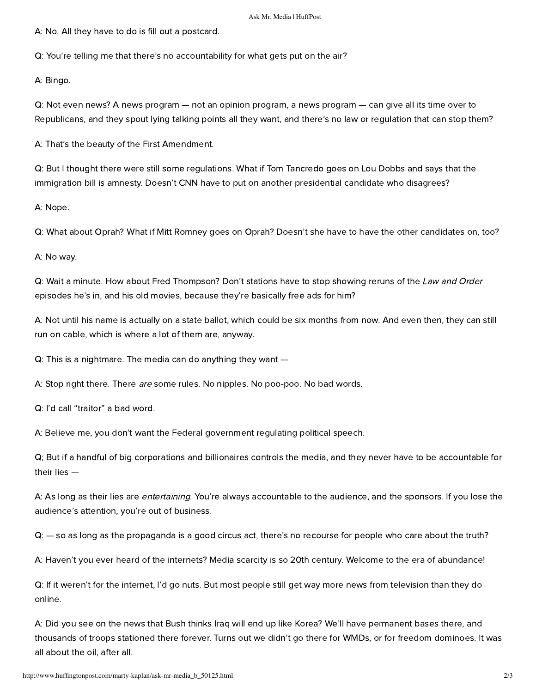A: No. All they have to do is fill out a postcard.

Q: You're telling me that there's no accountability for what gets put on the air?

A: Bingo.

Q: Not even news? A news program — not an opinion program, a news program — can give all its time over to Republicans, and they spout lying talking points all they want, and there's no law or regulation that can stop them?

A: That's the beauty of the First Amendment.

Q: But I thought there were still some regulations. What if Tom Tancredo goes on Lou Dobbs and says that the immigration bill is amnesty. Doesn't CNN have to put on another presidential candidate who disagrees?

A: Nope.

Q: What about Oprah? What if Mitt Romney goes on Oprah? Doesn't she have to have the other candidates on, too?

A: No way.

Q: Wait a minute. How about Fred Thompson? Don't stations have to stop showing reruns of the Law and Order episodes he's in, and his old movies, because they're basically free ads for him?

A: Not until his name is actually on a state ballot, which could be six months from now. And even then, they can still run on cable, which is where a lot of them are, anyway.

Q: This is a nightmare. The media can do anything they want —

A: Stop right there. There are some rules. No nipples. No poo-poo. No bad words.

Q: I'd call "traitor" a bad word.

A: Believe me, you don't want the Federal government regulating political speech.

Q; But if a handful of big corporations and billionaires controls the media, and they never have to be accountable for their lies —

A: As long as their lies are *entertaining*. You're always accountable to the audience, and the sponsors. If you lose the audience's attention, you're out of business.

Q: — so as long as the propaganda is a good circus act, there's no recourse for people who care about the truth?

A: Haven't you ever heard of the internets? Media scarcity is so 20th century. Welcome to the era of abundance!

Q: If it weren't for the internet, I'd go nuts. But most people still get way more news from television than they do online.

A: Did you see on the news that Bush thinks Iraq will end up like Korea? We'll have permanent bases there, and thousands of troops stationed there forever. Turns out we didn't go there for WMDs, or for freedom dominoes. It was all about the oil, after all.